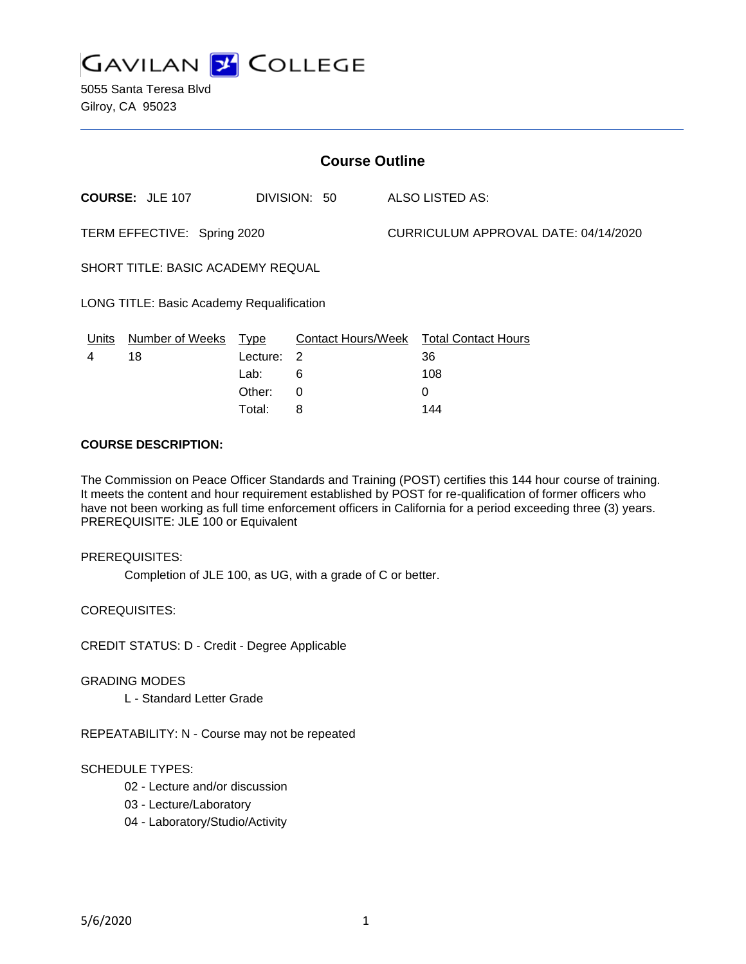

| <b>Course Outline</b>                     |                                 |                                           |  |                                         |  |
|-------------------------------------------|---------------------------------|-------------------------------------------|--|-----------------------------------------|--|
| <b>COURSE: JLE 107</b>                    |                                 | DIVISION: 50                              |  | ALSO LISTED AS:                         |  |
| TERM EFFECTIVE: Spring 2020               |                                 |                                           |  | CURRICULUM APPROVAL DATE: 04/14/2020    |  |
| SHORT TITLE: BASIC ACADEMY REQUAL         |                                 |                                           |  |                                         |  |
| LONG TITLE: Basic Academy Requalification |                                 |                                           |  |                                         |  |
| Number of Weeks<br>Units<br>18<br>4       | <b>Type</b><br>Lecture:<br>Lab: | Contact Hours/Week<br>$\overline{2}$<br>6 |  | <b>Total Contact Hours</b><br>36<br>108 |  |

Other: 0 0 Total: 8 144

## **COURSE DESCRIPTION:**

The Commission on Peace Officer Standards and Training (POST) certifies this 144 hour course of training. It meets the content and hour requirement established by POST for re-qualification of former officers who have not been working as full time enforcement officers in California for a period exceeding three (3) years. PREREQUISITE: JLE 100 or Equivalent

### PREREQUISITES:

Completion of JLE 100, as UG, with a grade of C or better.

COREQUISITES:

CREDIT STATUS: D - Credit - Degree Applicable

### GRADING MODES

L - Standard Letter Grade

REPEATABILITY: N - Course may not be repeated

### SCHEDULE TYPES:

- 02 Lecture and/or discussion
- 03 Lecture/Laboratory
- 04 Laboratory/Studio/Activity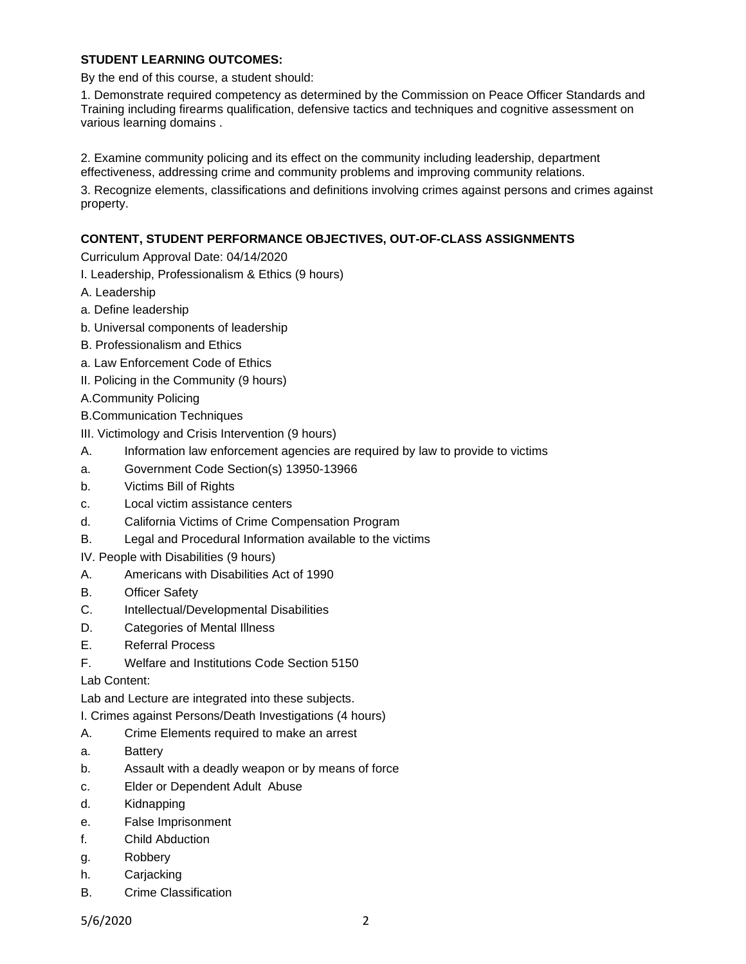# **STUDENT LEARNING OUTCOMES:**

By the end of this course, a student should:

1. Demonstrate required competency as determined by the Commission on Peace Officer Standards and Training including firearms qualification, defensive tactics and techniques and cognitive assessment on various learning domains .

2. Examine community policing and its effect on the community including leadership, department effectiveness, addressing crime and community problems and improving community relations.

3. Recognize elements, classifications and definitions involving crimes against persons and crimes against property.

# **CONTENT, STUDENT PERFORMANCE OBJECTIVES, OUT-OF-CLASS ASSIGNMENTS**

Curriculum Approval Date: 04/14/2020

I. Leadership, Professionalism & Ethics (9 hours)

- A. Leadership
- a. Define leadership
- b. Universal components of leadership
- B. Professionalism and Ethics
- a. Law Enforcement Code of Ethics
- II. Policing in the Community (9 hours)
- A.Community Policing
- B.Communication Techniques
- III. Victimology and Crisis Intervention (9 hours)
- A. Information law enforcement agencies are required by law to provide to victims
- a. Government Code Section(s) 13950-13966
- b. Victims Bill of Rights
- c. Local victim assistance centers
- d. California Victims of Crime Compensation Program
- B. Legal and Procedural Information available to the victims
- IV. People with Disabilities (9 hours)
- A. Americans with Disabilities Act of 1990
- B. Officer Safety
- C. Intellectual/Developmental Disabilities
- D. Categories of Mental Illness
- E. Referral Process
- F. Welfare and Institutions Code Section 5150

Lab Content:

Lab and Lecture are integrated into these subjects.

- I. Crimes against Persons/Death Investigations (4 hours)
- A. Crime Elements required to make an arrest
- a. Battery
- b. Assault with a deadly weapon or by means of force
- c. Elder or Dependent Adult Abuse
- d. Kidnapping
- e. False Imprisonment
- f. Child Abduction
- g. Robbery
- h. Carjacking
- B. Crime Classification

5/6/2020 2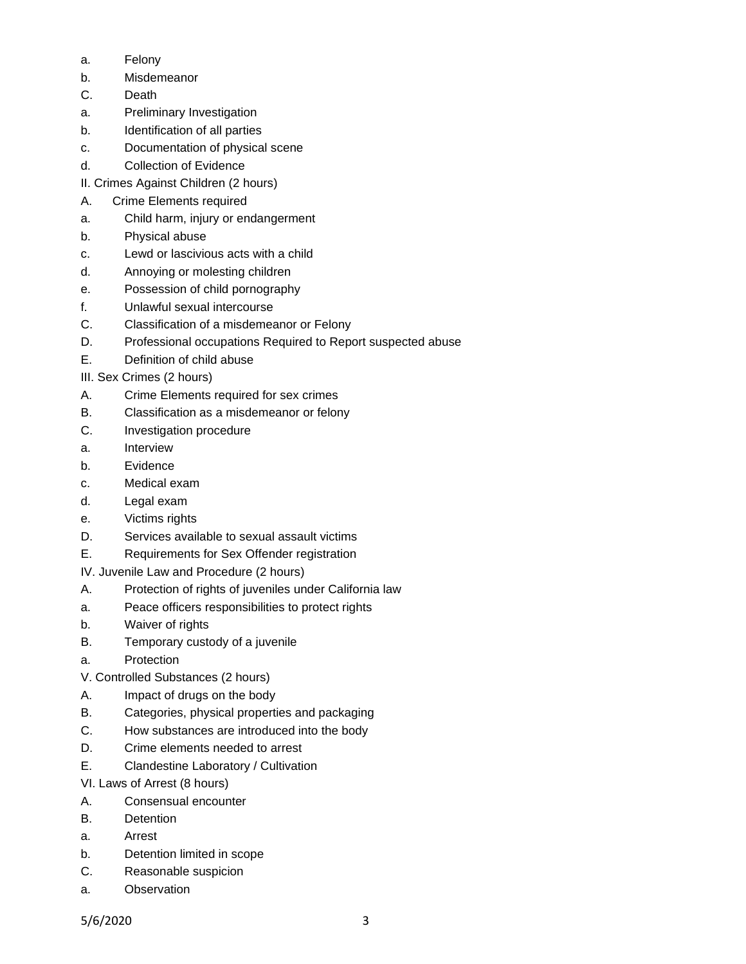- a. Felony
- b. Misdemeanor
- C. Death
- a. Preliminary Investigation
- b. Identification of all parties
- c. Documentation of physical scene
- d. Collection of Evidence
- II. Crimes Against Children (2 hours)
- A. Crime Elements required
- a. Child harm, injury or endangerment
- b. Physical abuse
- c. Lewd or lascivious acts with a child
- d. Annoying or molesting children
- e. Possession of child pornography
- f. Unlawful sexual intercourse
- C. Classification of a misdemeanor or Felony
- D. Professional occupations Required to Report suspected abuse
- E. Definition of child abuse
- III. Sex Crimes (2 hours)
- A. Crime Elements required for sex crimes
- B. Classification as a misdemeanor or felony
- C. Investigation procedure
- a. Interview
- b. Evidence
- c. Medical exam
- d. Legal exam
- e. Victims rights
- D. Services available to sexual assault victims
- E. Requirements for Sex Offender registration

IV. Juvenile Law and Procedure (2 hours)

- A. Protection of rights of juveniles under California law
- a. Peace officers responsibilities to protect rights
- b. Waiver of rights
- B. Temporary custody of a juvenile
- a. Protection
- V. Controlled Substances (2 hours)
- A. Impact of drugs on the body
- B. Categories, physical properties and packaging
- C. How substances are introduced into the body
- D. Crime elements needed to arrest
- E. Clandestine Laboratory / Cultivation
- VI. Laws of Arrest (8 hours)
- A. Consensual encounter
- B. Detention
- a. Arrest
- b. Detention limited in scope
- C. Reasonable suspicion
- a. Observation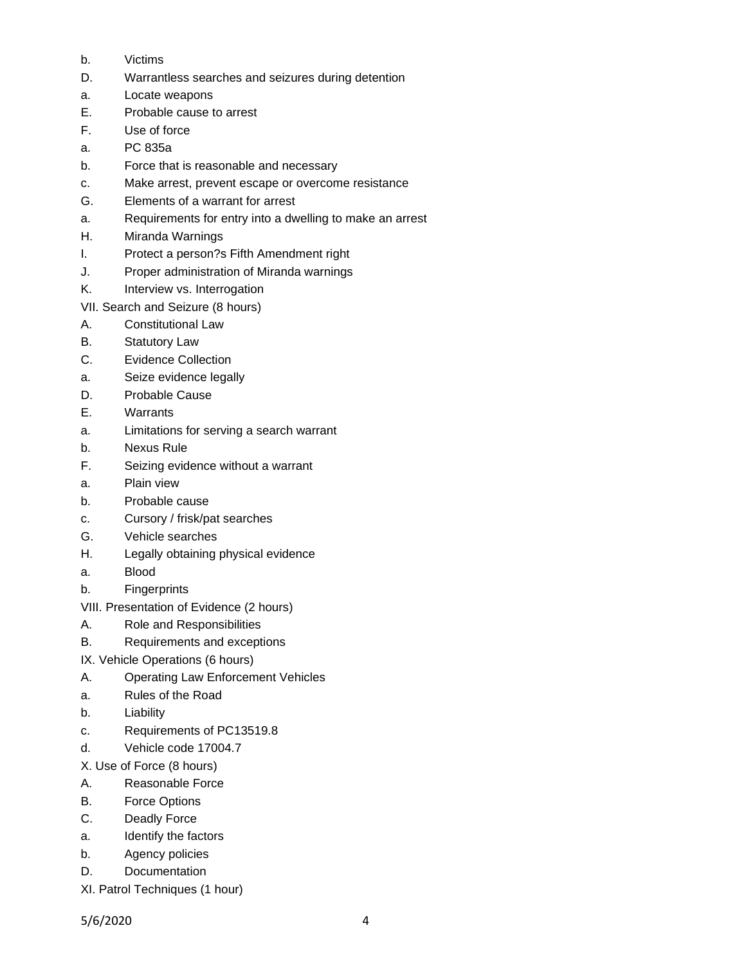- b. Victims
- D. Warrantless searches and seizures during detention
- a. Locate weapons
- E. Probable cause to arrest
- F. Use of force
- a. PC 835a
- b. Force that is reasonable and necessary
- c. Make arrest, prevent escape or overcome resistance
- G. Elements of a warrant for arrest
- a. Requirements for entry into a dwelling to make an arrest
- H. Miranda Warnings
- I. Protect a person?s Fifth Amendment right
- J. Proper administration of Miranda warnings
- K. Interview vs. Interrogation
- VII. Search and Seizure (8 hours)
- A. Constitutional Law
- B. Statutory Law
- C. Evidence Collection
- a. Seize evidence legally
- D. Probable Cause
- E. Warrants
- a. Limitations for serving a search warrant
- b. Nexus Rule
- F. Seizing evidence without a warrant
- a. Plain view
- b. Probable cause
- c. Cursory / frisk/pat searches
- G. Vehicle searches
- H. Legally obtaining physical evidence
- a. Blood
- b. Fingerprints
- VIII. Presentation of Evidence (2 hours)
- A. Role and Responsibilities
- B. Requirements and exceptions
- IX. Vehicle Operations (6 hours)
- A. Operating Law Enforcement Vehicles
- a. Rules of the Road
- b. Liability
- c. Requirements of PC13519.8
- d. Vehicle code 17004.7
- X. Use of Force (8 hours)
- A. Reasonable Force
- B. Force Options
- C. Deadly Force
- a. Identify the factors
- b. Agency policies
- D. Documentation
- XI. Patrol Techniques (1 hour)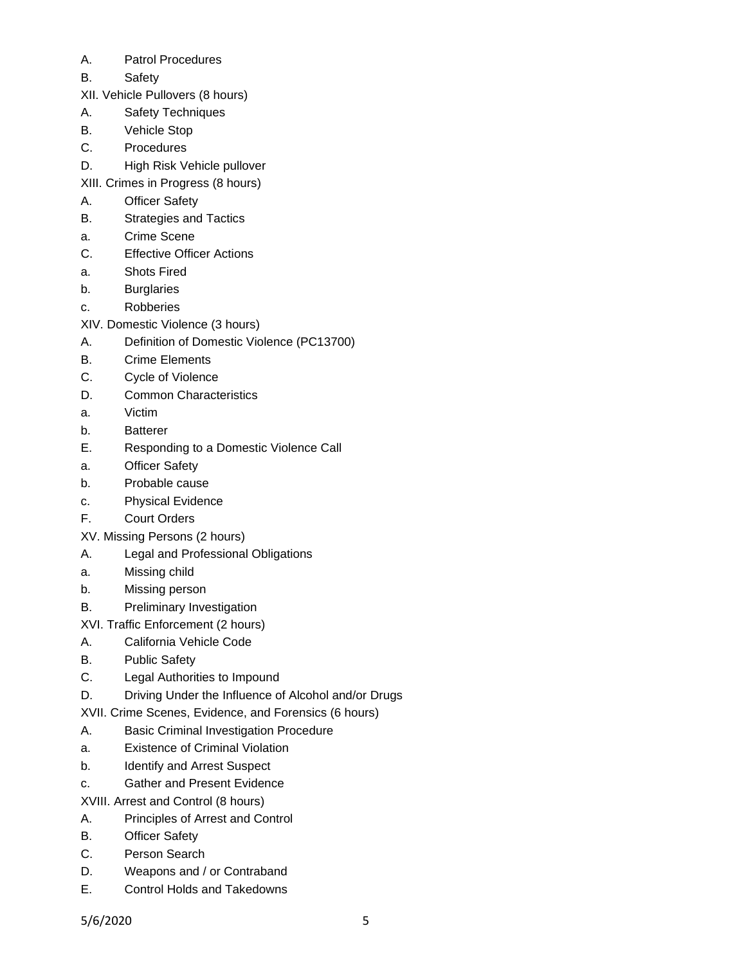- A. Patrol Procedures
- B. Safety
- XII. Vehicle Pullovers (8 hours)
- A. Safety Techniques
- B. Vehicle Stop
- C. Procedures
- D. High Risk Vehicle pullover
- XIII. Crimes in Progress (8 hours)
- A. Officer Safety
- B. Strategies and Tactics
- a. Crime Scene
- C. Effective Officer Actions
- a. Shots Fired
- b. Burglaries
- c. Robberies
- XIV. Domestic Violence (3 hours)
- A. Definition of Domestic Violence (PC13700)
- B. Crime Elements
- C. Cycle of Violence
- D. Common Characteristics
- a. Victim
- b. Batterer
- E. Responding to a Domestic Violence Call
- a. Officer Safety
- b. Probable cause
- c. Physical Evidence
- F. Court Orders
- XV. Missing Persons (2 hours)
- A. Legal and Professional Obligations
- a. Missing child
- b. Missing person
- B. Preliminary Investigation
- XVI. Traffic Enforcement (2 hours)
- A. California Vehicle Code
- B. Public Safety
- C. Legal Authorities to Impound
- D. Driving Under the Influence of Alcohol and/or Drugs
- XVII. Crime Scenes, Evidence, and Forensics (6 hours)
- A. Basic Criminal Investigation Procedure
- a. Existence of Criminal Violation
- b. Identify and Arrest Suspect
- c. Gather and Present Evidence
- XVIII. Arrest and Control (8 hours)
- A. Principles of Arrest and Control
- B. Officer Safety
- C. Person Search
- D. Weapons and / or Contraband
- E. Control Holds and Takedowns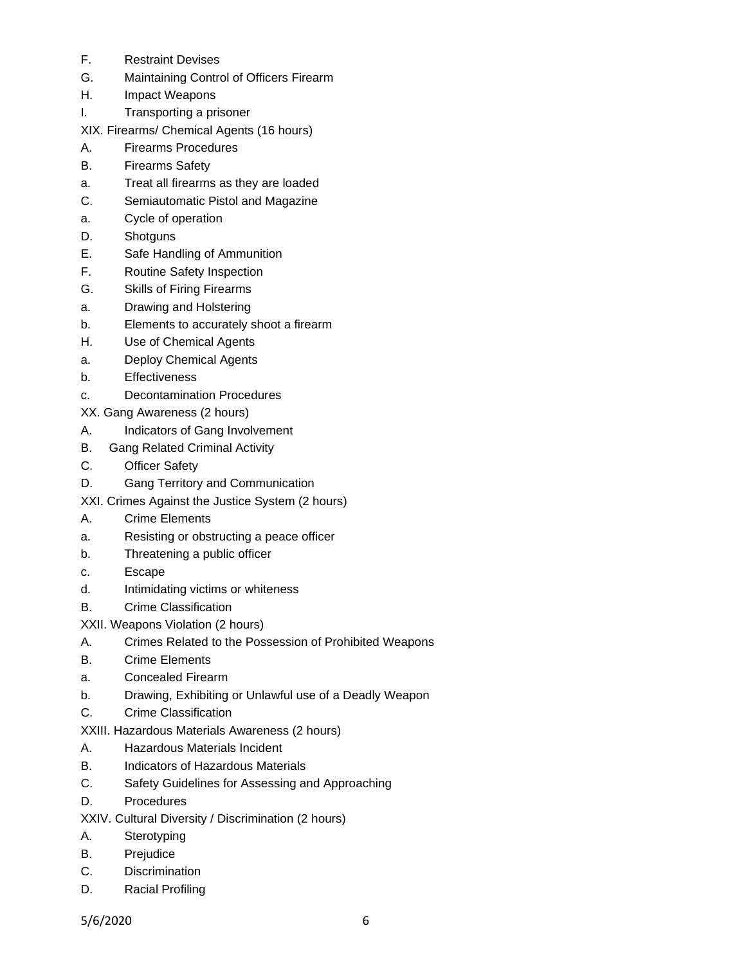- F. Restraint Devises
- G. Maintaining Control of Officers Firearm
- H. Impact Weapons
- I. Transporting a prisoner

XIX. Firearms/ Chemical Agents (16 hours)

- A. Firearms Procedures
- B. Firearms Safety
- a. Treat all firearms as they are loaded
- C. Semiautomatic Pistol and Magazine
- a. Cycle of operation
- D. Shotguns
- E. Safe Handling of Ammunition
- F. Routine Safety Inspection
- G. Skills of Firing Firearms
- a. Drawing and Holstering
- b. Elements to accurately shoot a firearm
- H. Use of Chemical Agents
- a. Deploy Chemical Agents
- b. Effectiveness
- c. Decontamination Procedures
- XX. Gang Awareness (2 hours)
- A. Indicators of Gang Involvement
- B. Gang Related Criminal Activity
- C. Officer Safety
- D. Gang Territory and Communication
- XXI. Crimes Against the Justice System (2 hours)
- A. Crime Elements
- a. Resisting or obstructing a peace officer
- b. Threatening a public officer
- c. Escape
- d. Intimidating victims or whiteness
- B. Crime Classification
- XXII. Weapons Violation (2 hours)
- A. Crimes Related to the Possession of Prohibited Weapons
- B. Crime Elements
- a. Concealed Firearm
- b. Drawing, Exhibiting or Unlawful use of a Deadly Weapon
- C. Crime Classification
- XXIII. Hazardous Materials Awareness (2 hours)
- A. Hazardous Materials Incident
- B. Indicators of Hazardous Materials
- C. Safety Guidelines for Assessing and Approaching
- D. Procedures
- XXIV. Cultural Diversity / Discrimination (2 hours)
- A. Sterotyping
- B. Prejudice
- C. Discrimination
- D. Racial Profiling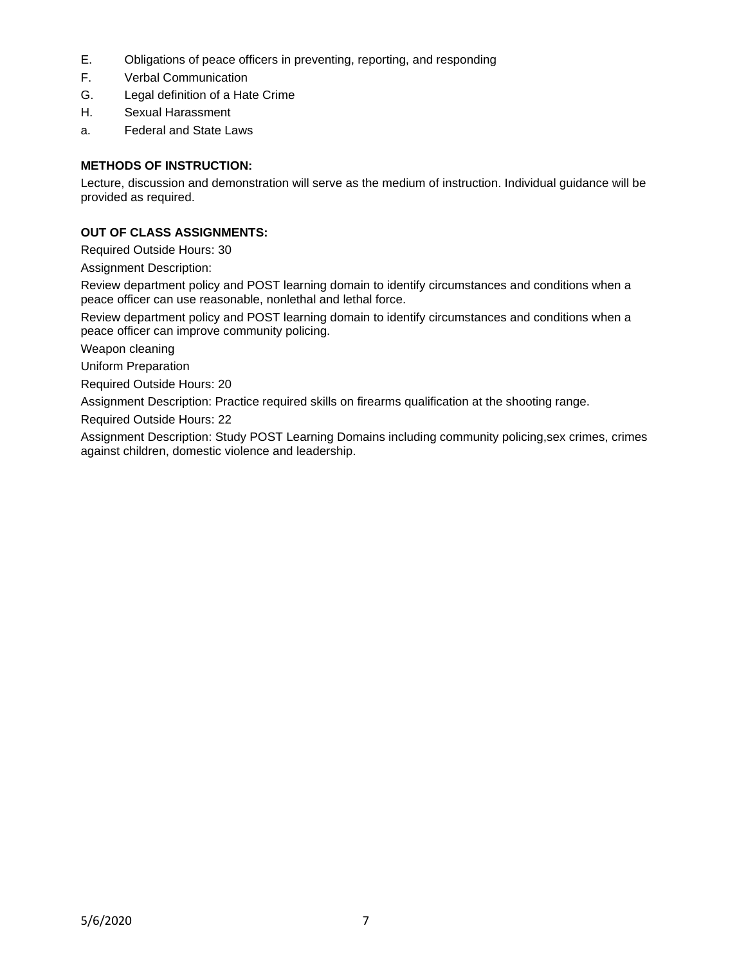- E. Obligations of peace officers in preventing, reporting, and responding
- F. Verbal Communication
- G. Legal definition of a Hate Crime
- H. Sexual Harassment
- a. Federal and State Laws

# **METHODS OF INSTRUCTION:**

Lecture, discussion and demonstration will serve as the medium of instruction. Individual guidance will be provided as required.

# **OUT OF CLASS ASSIGNMENTS:**

Required Outside Hours: 30

Assignment Description:

Review department policy and POST learning domain to identify circumstances and conditions when a peace officer can use reasonable, nonlethal and lethal force.

Review department policy and POST learning domain to identify circumstances and conditions when a peace officer can improve community policing.

Weapon cleaning

Uniform Preparation

Required Outside Hours: 20

Assignment Description: Practice required skills on firearms qualification at the shooting range.

Required Outside Hours: 22

Assignment Description: Study POST Learning Domains including community policing,sex crimes, crimes against children, domestic violence and leadership.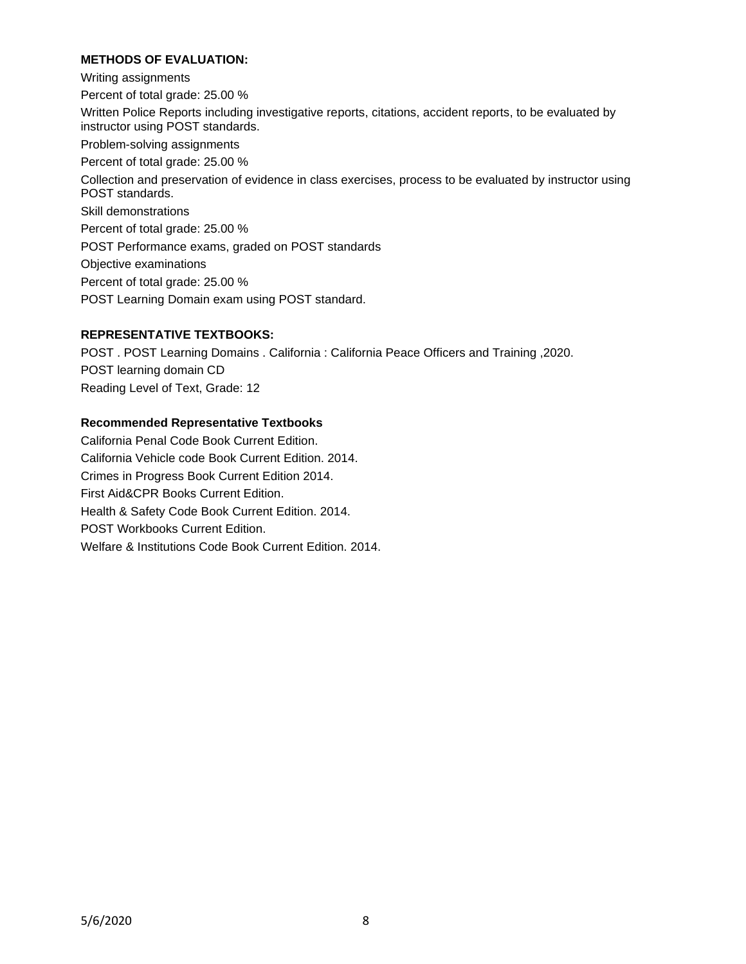# **METHODS OF EVALUATION:**

Writing assignments Percent of total grade: 25.00 % Written Police Reports including investigative reports, citations, accident reports, to be evaluated by instructor using POST standards. Problem-solving assignments Percent of total grade: 25.00 % Collection and preservation of evidence in class exercises, process to be evaluated by instructor using POST standards. Skill demonstrations Percent of total grade: 25.00 % POST Performance exams, graded on POST standards Objective examinations Percent of total grade: 25.00 % POST Learning Domain exam using POST standard.

## **REPRESENTATIVE TEXTBOOKS:**

POST . POST Learning Domains . California : California Peace Officers and Training ,2020. POST learning domain CD Reading Level of Text, Grade: 12

## **Recommended Representative Textbooks**

California Penal Code Book Current Edition. California Vehicle code Book Current Edition. 2014. Crimes in Progress Book Current Edition 2014. First Aid&CPR Books Current Edition. Health & Safety Code Book Current Edition. 2014. POST Workbooks Current Edition. Welfare & Institutions Code Book Current Edition. 2014.